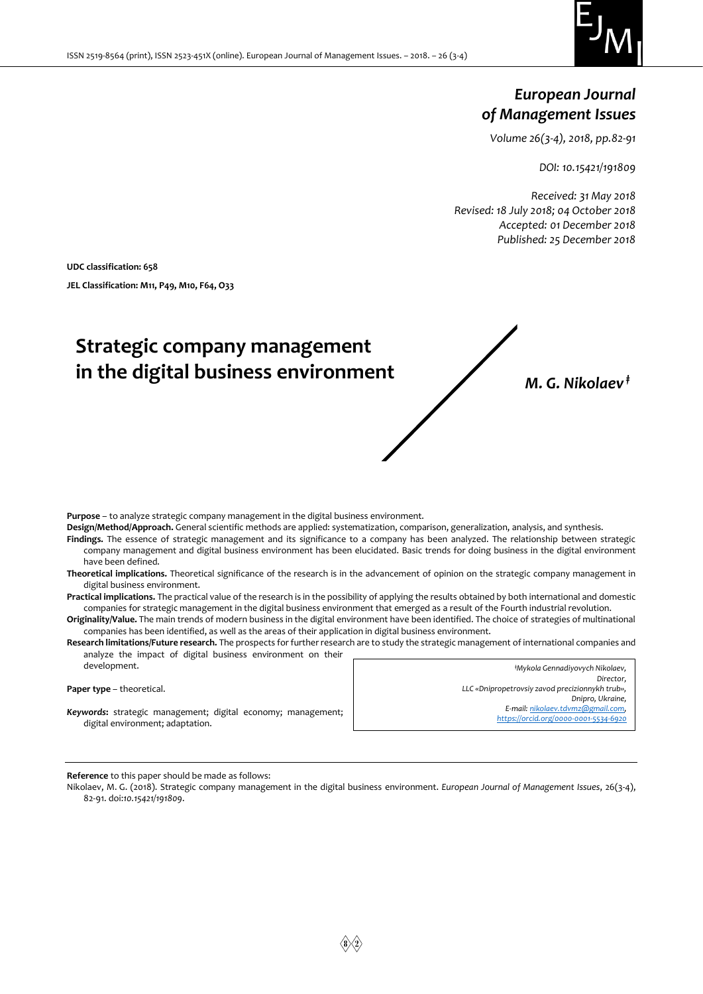

# *European Journal of Management Issues*

*Volume 26(3-4), 2018, pp.82-91*

*DOI: 10.15421/191809*

*Received: 31 May 2018 Revised: 18 July 2018; 04 October 2018 Accepted: 01 December 2018 Published: 25 December 2018*

**UDC classification: 658 JEL Classification: M11, P49, M10, F64, О33**

# **Strategic company management in the digital business environment** *M. G. Nikolaev ‡*

**Purpose** – to analyze strategic company management in the digital business environment.

**Design/Method/Approach.** General scientific methods are applied: systematization, comparison, generalization, analysis, and synthesis.

**Findings.** The essence of strategic management and its significance to a company has been analyzed. The relationship between strategic company management and digital business environment has been elucidated. Basic trends for doing business in the digital environment have been defined.

**Theoretical implications.** Theoretical significance of the research is in the advancement of opinion on the strategic company management in digital business environment.

**Practical implications.** The practical value of the research is in the possibility of applying the results obtained by both international and domestic companies for strategic management in the digital business environment that emerged as a result of the Fourth industrial revolution.

**Originality/Value.** The main trends of modern business in the digital environment have been identified. The choice of strategies of multinational companies has been identified, as well as the areas of their application in digital business environment.

**Research limitations/Future research.** The prospects for further research are to study the strategic management of international companies and analyze the impact of digital business environment on their

| development.                                                                                            | *Mykola Gennadiyovych Nikolaev,                                            |  |
|---------------------------------------------------------------------------------------------------------|----------------------------------------------------------------------------|--|
|                                                                                                         | Director,                                                                  |  |
| <b>Paper type</b> – theoretical.                                                                        | LLC «Dnipropetrovsiy zavod precizionnykh trub».                            |  |
|                                                                                                         | Dnipro, Ukraine,                                                           |  |
| <b>Keywords:</b> strategic management; digital economy; management;<br>digital environment; adaptation. | E-mail: nikolaev.tdvmz@gmail.com,<br>https://orcid.org/0000-0001-5534-6920 |  |

**Reference** to this paper should be made as follows:

Nikolaev, M. G. (2018). Strategic company management in the digital business environment. *European Journal of Management Issues*, 26(3-4), 82-91. doi:*10.15421/191809*.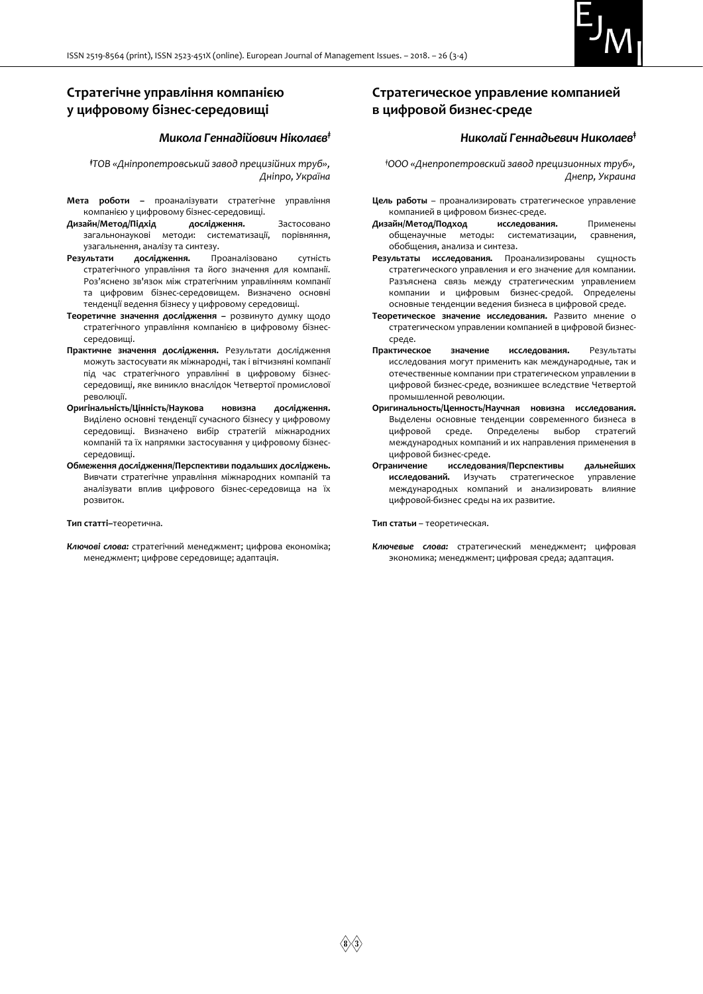

# **Стратегічне управління компанією у цифровому бізнес-середовищі**

#### *Микола Геннадійович Ніколаєв‡*

*‡ТОВ «Дніпропетровський завод прецизійних труб», Дніпро, Україна*

- **Мета роботи –** проаналізувати стратегічне управління компанією у цифровому бізнес-середовищі.
- **Дизайн/Метод/Підхід дослідження.** Застосовано загальнонаукові методи: систематизації, порівняння, узагальнення, аналізу та синтезу.
- **Результати дослідження.** Проаналізовано сутність стратегічного управління та його значення для компанії. Роз'яснено зв'язок між стратегічним управлінням компанії та цифровим бізнес-середовищем. Визначено основні тенденції ведення бізнесу у цифровому середовищі.
- **Теоретичне значення дослідження –** розвинуто думку щодо стратегічного управління компанією в цифровому бізнессередовищі.
- **Практичне значення дослідження.** Результати дослідження можуть застосувати як міжнародні, так і вітчизняні компанії під час стратегічного управлінні в цифровому бізнессередовищі, яке виникло внаслідок Четвертої промислової революції.
- **Оригінальність/Цінність/Наукова новизна дослідження.** Виділено основні тенденції сучасного бізнесу у цифровому середовищі. Визначено вибір стратегій міжнародних компаній та їх напрямки застосування у цифровому бізнессередовищі.
- **Обмеження дослідження/Перспективи подальших досліджень.**  Вивчати стратегічне управління міжнародних компаній та аналізувати вплив цифрового бізнес-середовища на їх розвиток.

#### **Тип статті–**теоретична.

*Ключові слова:* стратегічний менеджмент; цифрова економіка; менеджмент; цифрове середовище; адаптація.

## **Стратегическое управление компанией в цифровой бизнес-среде**

#### *Николай Геннадьевич Николаев***‡**

*‡ООО «Днепропетровский завод прецизионных труб», Днепр, Украина*

- **Цель работы** проанализировать стратегическое управление компанией в цифровом бизнес-среде.
- **Дизайн/Метод/Подход исследования.** Применены общенаучные методы: систематизации, сравнения, обобщения, анализа и синтеза.
- **Результаты исследования.** Проанализированы сущность стратегического управления и его значение для компании. Разъяснена связь между стратегическим управлением компании и цифровым бизнес-средой. Определены основные тенденции ведения бизнеса в цифровой среде.
- **Теоретическое значение исследования.** Развито мнение о стратегическом управлении компанией в цифровой бизнессреде.
- **Практическое значение исследования.** Результаты исследования могут применить как международные, так и отечественные компании при стратегическом управлении в цифровой бизнес-среде, возникшее вследствие Четвертой промышленной революции.
- **Оригинальность/Ценность/Научная новизна исследования.**  Выделены основные тенденции современного бизнеса в цифровой среде. Определены выбор стратегий международных компаний и их направления применения в цифровой бизнес-среде.
- **Ограничение исследования/Перспективы дальнейших исследований.** Изучать стратегическое управление международных компаний и анализировать влияние цифровой-бизнес среды на их развитие.

**Тип статьи** – теоретическая.

*Ключевые слова:* стратегический менеджмент; цифровая экономика; менеджмент; цифровая среда; адаптация.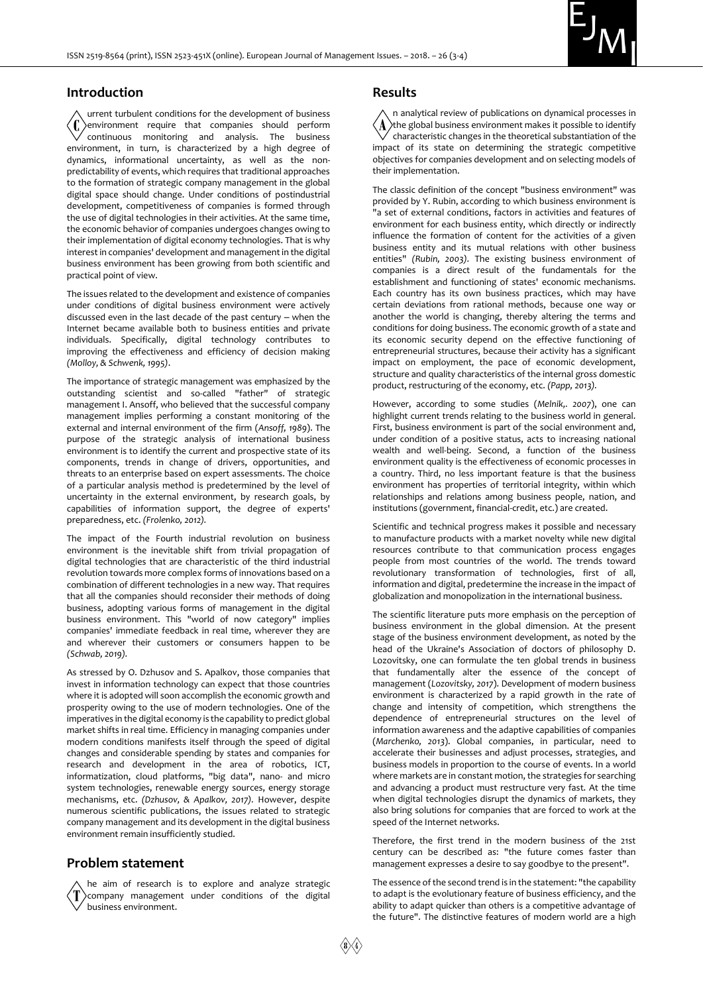

#### **Introduction**

urrent turbulent conditions for the development of business environment require that companies should perform continuous monitoring and analysis. The business environment, in turn, is characterized by a high degree of dynamics, informational uncertainty, as well as the nonpredictability of events, which requires that traditional approaches to the formation of strategic company management in the global digital space should change. Under conditions of postindustrial development, competitiveness of companies is formed through the use of digital technologies in their activities. At the same time, the economic behavior of companies undergoes changes owing to their implementation of digital economy technologies. That is why interest in companies' development and management in the digital business environment has been growing from both scientific and practical point of view.

The issues related to the development and existence of companies under conditions of digital business environment were actively discussed even in the last decade of the past century  $-$  when the Internet became available both to business entities and private individuals. Specifically, digital technology contributes to improving the effectiveness and efficiency of decision making *(Molloy, & Schwenk, 1995)*.

The importance of strategic management was emphasized by the outstanding scientist and so-called "father" of strategic management I. Ansoff, who believed that the successful company management implies performing a constant monitoring of the external and internal environment of the firm (*Ansoff, 1989*). The purpose of the strategic analysis of international business environment is to identify the current and prospective state of its components, trends in change of drivers, opportunities, and threats to an enterprise based on expert assessments. The choice of a particular analysis method is predetermined by the level of uncertainty in the external environment, by research goals, by capabilities of information support, the degree of experts' preparedness, etc. *(Frolenko, 2012).*

The impact of the Fourth industrial revolution on business environment is the inevitable shift from trivial propagation of digital technologies that are characteristic of the third industrial revolution towards more complex forms of innovations based on a combination of different technologies in a new way. That requires that all the companies should reconsider their methods of doing business, adopting various forms of management in the digital business environment. This "world of now category" implies companies' immediate feedback in real time, wherever they are and wherever their customers or consumers happen to be *(Schwab, 2019).*

As stressed by O. Dzhusov and S. Apalkov, those companies that invest in information technology can expect that those countries where it is adopted will soon accomplish the economic growth and prosperity owing to the use of modern technologies. One of the imperatives in the digital economy is the capability to predict global market shifts in real time. Efficiency in managing companies under modern conditions manifests itself through the speed of digital changes and considerable spending by states and companies for research and development in the area of robotics, ICT, informatization, cloud platforms, "big data", nano- and micro system technologies, renewable energy sources, energy storage mechanisms, etc. *(Dzhusov, & Apalkov, 2017).* However, despite numerous scientific publications, the issues related to strategic company management and its development in the digital business environment remain insufficiently studied.

#### **Problem statement**

he aim of research is to explore and analyze strategic company management under conditions of the digital business environment.

#### **Results**

n analytical review of publications on dynamical processes in the global business environment makes it possible to identify characteristic changes in the theoretical substantiation of the impact of its state on determining the strategic competitive objectives for companies development and on selecting models of their implementation.

The classic definition of the concept "business environment" was provided by Y. Rubin, according to which business environment is "a set of external conditions, factors in activities and features of environment for each business entity, which directly or indirectly influence the formation of content for the activities of a given business entity and its mutual relations with other business entities" *(Rubin, 2003).* The existing business environment of companies is a direct result of the fundamentals for the establishment and functioning of states' economic mechanisms. Each country has its own business practices, which may have certain deviations from rational methods, because one way or another the world is changing, thereby altering the terms and conditions for doing business. The economic growth of a state and its economic security depend on the effective functioning of entrepreneurial structures, because their activity has a significant impact on employment, the pace of economic development, structure and quality characteristics of the internal gross domestic product, restructuring of the economy, etc. *(Papp, 2013).*

However, according to some studies (*Melnik,. 2007*), one can highlight current trends relating to the business world in general. First, business environment is part of the social environment and, under condition of a positive status, acts to increasing national wealth and well-being. Second, a function of the business environment quality is the effectiveness of economic processes in a country. Third, no less important feature is that the business environment has properties of territorial integrity, within which relationships and relations among business people, nation, and institutions (government, financial-credit, etc.) are created.

Scientific and technical progress makes it possible and necessary to manufacture products with a market novelty while new digital resources contribute to that communication process engages people from most countries of the world. The trends toward revolutionary transformation of technologies, first of all, information and digital, predetermine the increase in the impact of globalization and monopolization in the international business.

The scientific literature puts more emphasis on the perception of business environment in the global dimension. At the present stage of the business environment development, as noted by the head of the Ukraine's Association of doctors of philosophy D. Lozovitsky, one can formulate the ten global trends in business that fundamentally alter the essence of the concept of management (*Lozovitsky, 2017*). Development of modern business environment is characterized by a rapid growth in the rate of change and intensity of competition, which strengthens the dependence of entrepreneurial structures on the level of information awareness and the adaptive capabilities of companies (*Marchenko, 2013*). Global companies, in particular, need to accelerate their businesses and adjust processes, strategies, and business models in proportion to the course of events. In a world where markets are in constant motion, the strategies for searching and advancing a product must restructure very fast. At the time when digital technologies disrupt the dynamics of markets, they also bring solutions for companies that are forced to work at the speed of the Internet networks.

Therefore, the first trend in the modern business of the 21st century can be described as: "the future comes faster than management expresses a desire to say goodbye to the present".

The essence of the second trend is in the statement: "the capability to adapt is the evolutionary feature of business efficiency, and the ability to adapt quicker than others is a competitive advantage of the future". The distinctive features of modern world are a high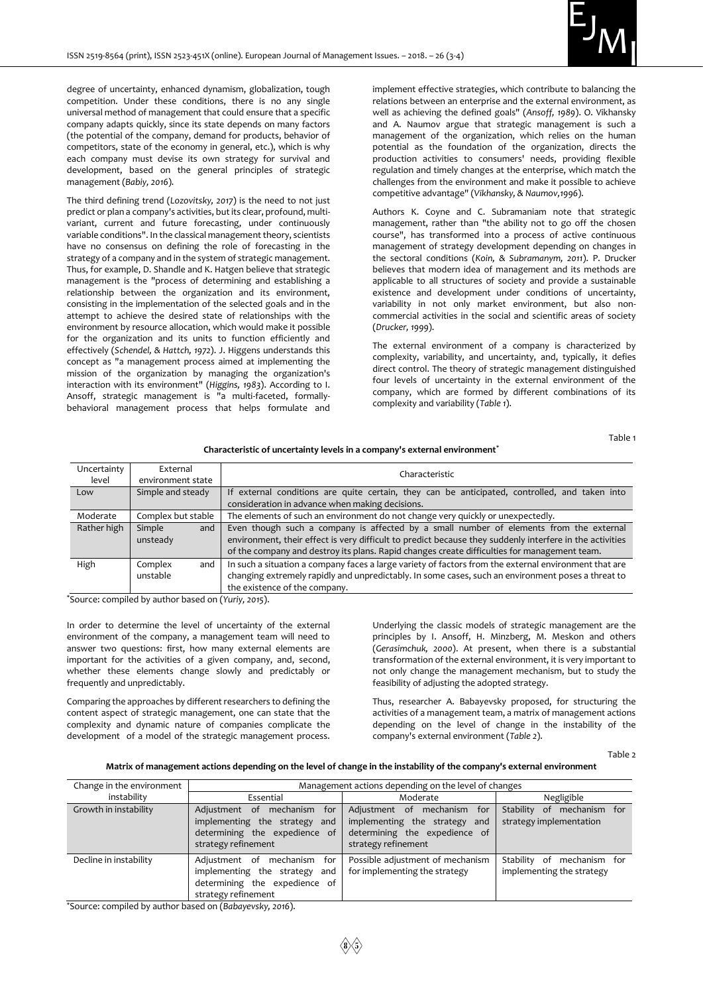

degree of uncertainty, enhanced dynamism, globalization, tough competition. Under these conditions, there is no any single universal method of management that could ensure that a specific company adapts quickly, since its state depends on many factors (the potential of the company, demand for products, behavior of competitors, state of the economy in general, etc.), which is why each company must devise its own strategy for survival and development, based on the general principles of strategic management (*Babiy, 2016*).

The third defining trend (*Lozovitsky, 2017*) is the need to not just predict or plan a company's activities, but its clear, profound, multivariant, current and future forecasting, under continuously variable conditions". In the classical management theory, scientists have no consensus on defining the role of forecasting in the strategy of a company and in the system of strategic management. Thus, for example, D. Shandle and K. Hatgen believe that strategic management is the "process of determining and establishing a relationship between the organization and its environment, consisting in the implementation of the selected goals and in the attempt to achieve the desired state of relationships with the environment by resource allocation, which would make it possible for the organization and its units to function efficiently and effectively (*Schendel, & Hattch, 1972*). J. Higgens understands this concept as "a management process aimed at implementing the mission of the organization by managing the organization's interaction with its environment" (*Higgins, 1983*). According to I. Ansoff, strategic management is "a multi-faceted, formallybehavioral management process that helps formulate and

implement effective strategies, which contribute to balancing the relations between an enterprise and the external environment, as well as achieving the defined goals" (*Ansoff, 1989*). O. Vikhansky and A. Naumov argue that strategic management is such a management of the organization, which relies on the human potential as the foundation of the organization, directs the production activities to consumers' needs, providing flexible regulation and timely changes at the enterprise, which match the challenges from the environment and make it possible to achieve competitive advantage" (*Vikhansky, & Naumov,1996*).

Authors K. Coyne and C. Subramaniam note that strategic management, rather than "the ability not to go off the chosen course", has transformed into a process of active continuous management of strategy development depending on changes in the sectoral conditions (*Koin, & Subramanym, 2011*). P. Drucker believes that modern idea of management and its methods are applicable to all structures of society and provide a sustainable existence and development under conditions of uncertainty, variability in not only market environment, but also noncommercial activities in the social and scientific areas of society (*Drucker, 1999*).

The external environment of a company is characterized by complexity, variability, and uncertainty, and, typically, it defies direct control. The theory of strategic management distinguished four levels of uncertainty in the external environment of the company, which are formed by different combinations of its complexity and variability (*Table 1*).

#### **Characteristic of uncertainty levels in a company's external environment\***

Table 1

| Uncertainty<br>level | External<br>environment state | Characteristic                                                                                                                                                                                                                                                                                     |  |  |
|----------------------|-------------------------------|----------------------------------------------------------------------------------------------------------------------------------------------------------------------------------------------------------------------------------------------------------------------------------------------------|--|--|
| Low                  | Simple and steady             | If external conditions are quite certain, they can be anticipated, controlled, and taken into<br>consideration in advance when making decisions.                                                                                                                                                   |  |  |
| Moderate             | Complex but stable            | The elements of such an environment do not change very quickly or unexpectedly.                                                                                                                                                                                                                    |  |  |
| Rather high          | Simple<br>and<br>unsteady     | Even though such a company is affected by a small number of elements from the external<br>environment, their effect is very difficult to predict because they suddenly interfere in the activities<br>of the company and destroy its plans. Rapid changes create difficulties for management team. |  |  |
| High                 | and<br>Complex<br>unstable    | In such a situation a company faces a large variety of factors from the external environment that are<br>changing extremely rapidly and unpredictably. In some cases, such an environment poses a threat to<br>the existence of the company.                                                       |  |  |

\*Source: compiled by author based on (*Yuriy, 2015*).

In order to determine the level of uncertainty of the external environment of the company, a management team will need to answer two questions: first, how many external elements are important for the activities of a given company, and, second, whether these elements change slowly and predictably or frequently and unpredictably.

Comparing the approaches by different researchers to defining the content aspect of strategic management, one can state that the complexity and dynamic nature of companies complicate the development of a model of the strategic management process.

Underlying the classic models of strategic management are the principles by I. Ansoff, H. Minzberg, M. Meskon and others (*Gerasimchuk, 2000*). At present, when there is a substantial transformation of the external environment, it is very important to not only change the management mechanism, but to study the feasibility of adjusting the adopted strategy.

Thus, researcher A. Babayevsky proposed, for structuring the activities of a management team, a matrix of management actions depending on the level of change in the instability of the company's external environment (*Table 2*).

Table 2

#### **Matrix of management actions depending on the level of change in the instability of the company's external environment**

| Change in the environment | Management actions depending on the level of changes                                                                          |                                                                                                                         |                                                               |  |
|---------------------------|-------------------------------------------------------------------------------------------------------------------------------|-------------------------------------------------------------------------------------------------------------------------|---------------------------------------------------------------|--|
| instability               | Essential                                                                                                                     | Moderate                                                                                                                | Negligible                                                    |  |
| Growth in instability     | mechanism<br>for<br>Adjustment of<br>implementing the strategy<br>and<br>determining the expedience of<br>strategy refinement | Adjustment of mechanism for<br>implementing the strategy<br>and<br>determining the expedience of<br>strategy refinement | mechanism for<br>Stability<br>_of<br>strategy implementation  |  |
| Decline in instability    | mechanism<br>Adiustment of<br>for<br>implementing the strategy<br>and<br>determining the expedience of<br>strategy refinement | Possible adjustment of mechanism<br>for implementing the strategy                                                       | Stability<br>mechanism for<br>of<br>implementing the strategy |  |

\*Source: compiled by author based on (*Babayevsky, 2016*).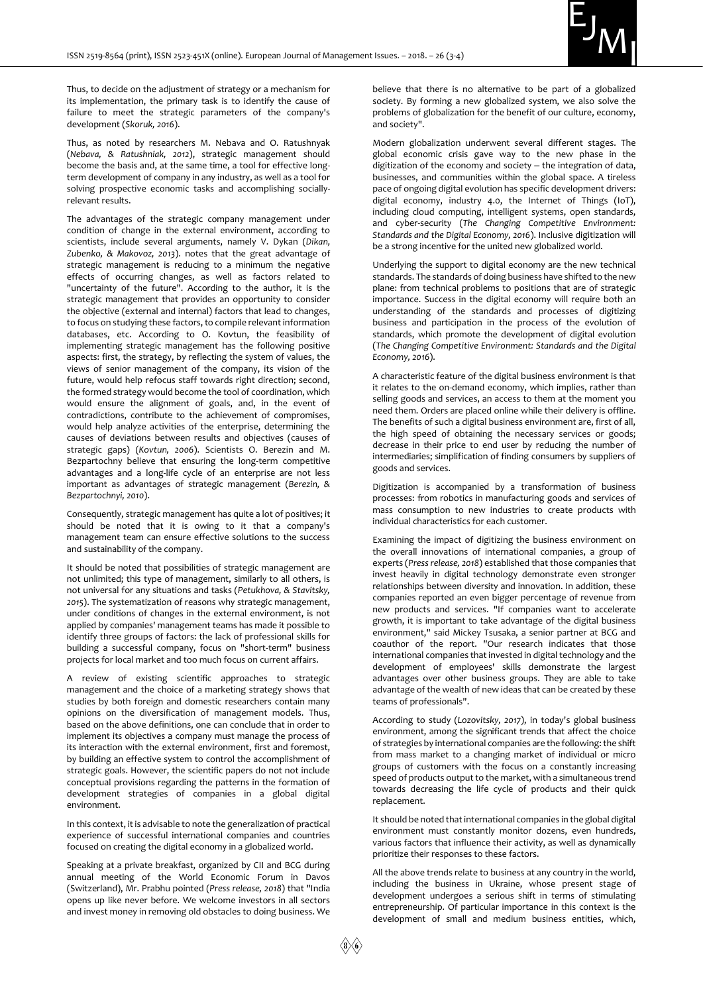

Thus, to decide on the adjustment of strategy or a mechanism for its implementation, the primary task is to identify the cause of failure to meet the strategic parameters of the company's development (*Skoruk, 2016*).

Thus, as noted by researchers M. Nebava and O. Ratushnyak (*Nebava, & Ratushniak, 2012*), strategic management should become the basis and, at the same time, a tool for effective longterm development of company in any industry, as well as a tool for solving prospective economic tasks and accomplishing sociallyrelevant results.

The advantages of the strategic company management under condition of change in the external environment, according to scientists, include several arguments, namely V. Dykan (*Dikan, Zubenko, & Makovoz, 2013*). notes that the great advantage of strategic management is reducing to a minimum the negative effects of occurring changes, as well as factors related to "uncertainty of the future". According to the author, it is the strategic management that provides an opportunity to consider the objective (external and internal) factors that lead to changes, to focus on studying these factors, to compile relevant information databases, etc. According to O. Kovtun, the feasibility of implementing strategic management has the following positive aspects: first, the strategy, by reflecting the system of values, the views of senior management of the company, its vision of the future, would help refocus staff towards right direction; second, the formed strategy would become the tool of coordination, which would ensure the alignment of goals, and, in the event of contradictions, contribute to the achievement of compromises, would help analyze activities of the enterprise, determining the causes of deviations between results and objectives (causes of strategic gaps) (*Kovtun, 2006*). Scientists O. Berezin and M. Bezpartochny believe that ensuring the long-term competitive advantages and a long-life cycle of an enterprise are not less important as advantages of strategic management (*Berezin, & Bezpartochnyi, 2010*).

Consequently, strategic management has quite a lot of positives; it should be noted that it is owing to it that a company's management team can ensure effective solutions to the success and sustainability of the company.

It should be noted that possibilities of strategic management are not unlimited; this type of management, similarly to all others, is not universal for any situations and tasks (*Petukhova, & Stavitsky, 2015*). The systematization of reasons why strategic management, under conditions of changes in the external environment, is not applied by companies' management teams has made it possible to identify three groups of factors: the lack of professional skills for building a successful company, focus on "short-term" business projects for local market and too much focus on current affairs.

A review of existing scientific approaches to strategic management and the choice of a marketing strategy shows that studies by both foreign and domestic researchers contain many opinions on the diversification of management models. Thus, based on the above definitions, one can conclude that in order to implement its objectives a company must manage the process of its interaction with the external environment, first and foremost, by building an effective system to control the accomplishment of strategic goals. However, the scientific papers do not not include conceptual provisions regarding the patterns in the formation of development strategies of companies in a global digital environment.

In this context, it is advisable to note the generalization of practical experience of successful international companies and countries focused on creating the digital economy in a globalized world.

Speaking at a private breakfast, organized by CII and BCG during annual meeting of the World Economic Forum in Davos (Switzerland), Mr. Prabhu pointed (*Press release, 2018*) that "India opens up like never before. We welcome investors in all sectors and invest money in removing old obstacles to doing business. We

believe that there is no alternative to be part of a globalized society. By forming a new globalized system, we also solve the problems of globalization for the benefit of our culture, economy, and society".

Modern globalization underwent several different stages. The global economic crisis gave way to the new phase in the digitization of the economy and society  $-$  the integration of data, businesses, and communities within the global space. A tireless pace of ongoing digital evolution has specific development drivers: digital economy, industry 4.0, the Internet of Things (IoT), including cloud computing, intelligent systems, open standards, and cyber-security (*The Changing Competitive Environment: Standards and the Digital Economy, 2016*). Inclusive digitization will be a strong incentive for the united new globalized world.

Underlying the support to digital economy are the new technical standards. The standards of doing business have shifted to the new plane: from technical problems to positions that are of strategic importance. Success in the digital economy will require both an understanding of the standards and processes of digitizing business and participation in the process of the evolution of standards, which promote the development of digital evolution (*The Changing Competitive Environment: Standards and the Digital Economy, 2016*).

A characteristic feature of the digital business environment is that it relates to the on-demand economy, which implies, rather than selling goods and services, an access to them at the moment you need them. Orders are placed online while their delivery is offline. The benefits of such a digital business environment are, first of all, the high speed of obtaining the necessary services or goods; decrease in their price to end user by reducing the number of intermediaries; simplification of finding consumers by suppliers of goods and services.

Digitization is accompanied by a transformation of business processes: from robotics in manufacturing goods and services of mass consumption to new industries to create products with individual characteristics for each customer.

Examining the impact of digitizing the business environment on the overall innovations of international companies, a group of experts (*Press release, 2018*) established that those companies that invest heavily in digital technology demonstrate even stronger relationships between diversity and innovation. In addition, these companies reported an even bigger percentage of revenue from new products and services. "If companies want to accelerate growth, it is important to take advantage of the digital business environment," said Mickey Tsusaka, a senior partner at BCG and coauthor of the report. "Our research indicates that those international companies that invested in digital technology and the development of employees' skills demonstrate the largest advantages over other business groups. They are able to take advantage of the wealth of new ideas that can be created by these teams of professionals".

According to study (*Lozovitsky, 2017*), in today's global business environment, among the significant trends that affect the choice of strategies by international companies are the following: the shift from mass market to a changing market of individual or micro groups of customers with the focus on a constantly increasing speed of products output to the market, with a simultaneous trend towards decreasing the life cycle of products and their quick replacement.

It should be noted that international companies in the global digital environment must constantly monitor dozens, even hundreds, various factors that influence their activity, as well as dynamically prioritize their responses to these factors.

All the above trends relate to business at any country in the world, including the business in Ukraine, whose present stage of development undergoes a serious shift in terms of stimulating entrepreneurship. Of particular importance in this context is the development of small and medium business entities, which,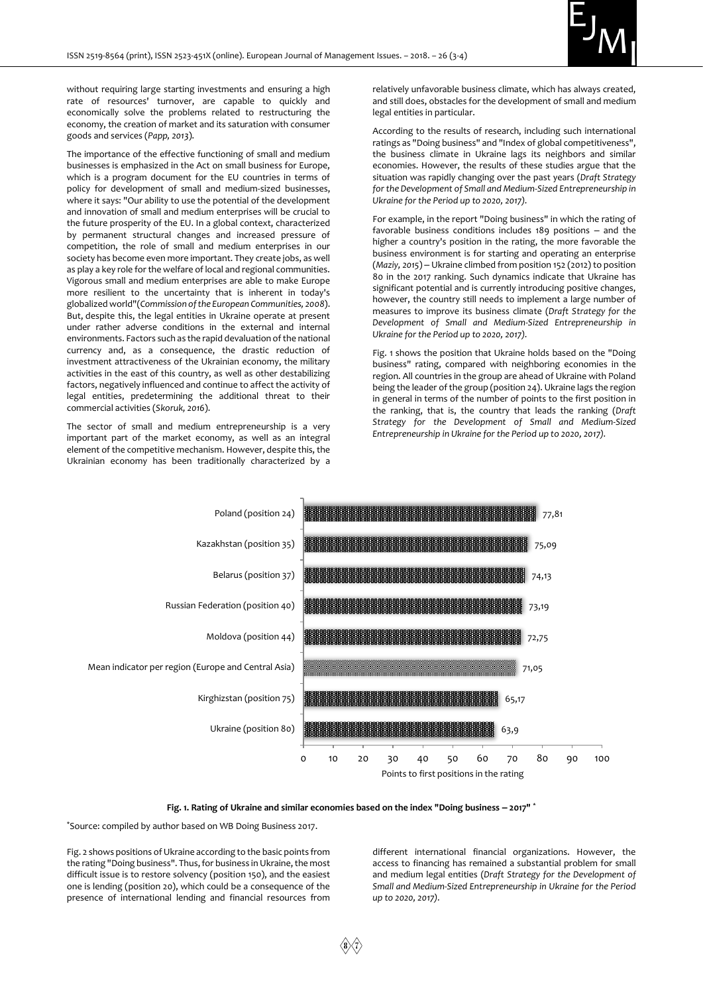

without requiring large starting investments and ensuring a high rate of resources' turnover, are capable to quickly and economically solve the problems related to restructuring the economy, the creation of market and its saturation with consumer goods and services (*Papp, 2013*).

The importance of the effective functioning of small and medium businesses is emphasized in the Act on small business for Europe, which is a program document for the EU countries in terms of policy for development of small and medium-sized businesses, where it says: "Our ability to use the potential of the development and innovation of small and medium enterprises will be crucial to the future prosperity of the EU. In a global context, characterized by permanent structural changes and increased pressure of competition, the role of small and medium enterprises in our society has become even more important. They create jobs, as well as play a key role for the welfare of local and regional communities. Vigorous small and medium enterprises are able to make Europe more resilient to the uncertainty that is inherent in today's globalized world"(*Commission of the European Communities, 2008*). But, despite this, the legal entities in Ukraine operate at present under rather adverse conditions in the external and internal environments. Factors such as the rapid devaluation of the national currency and, as a consequence, the drastic reduction of investment attractiveness of the Ukrainian economy, the military activities in the east of this country, as well as other destabilizing factors, negatively influenced and continue to affect the activity of legal entities, predetermining the additional threat to their commercial activities (*Skoruk, 2016*).

The sector of small and medium entrepreneurship is a very important part of the market economy, as well as an integral element of the competitive mechanism. However, despite this, the Ukrainian economy has been traditionally characterized by a relatively unfavorable business climate, which has always created, and still does, obstacles for the development of small and medium legal entities in particular.

According to the results of research, including such international ratings as "Doing business" and "Index of global competitiveness", the business climate in Ukraine lags its neighbors and similar economies. However, the results of these studies argue that the situation was rapidly changing over the past years (*Draft Strategy for the Development of Small and Medium-Sized Entrepreneurship in Ukraine for the Period up to 2020, 2017).*

For example, in the report "Doing business" in which the rating of favorable business conditions includes  $189$  positions  $-$  and the higher a country's position in the rating, the more favorable the business environment is for starting and operating an enterprise (*Maziy, 2015*) ‒ Ukraine climbed from position 152 (2012) to position 80 in the 2017 ranking. Such dynamics indicate that Ukraine has significant potential and is currently introducing positive changes, however, the country still needs to implement a large number of measures to improve its business climate (*Draft Strategy for the Development of Small and Medium-Sized Entrepreneurship in Ukraine for the Period up to 2020, 2017).*

Fig. 1 shows the position that Ukraine holds based on the "Doing business" rating, compared with neighboring economies in the region. All countries in the group are ahead of Ukraine with Poland being the leader of the group (position 24). Ukraine lags the region in general in terms of the number of points to the first position in the ranking, that is, the country that leads the ranking (*Draft Strategy for the Development of Small and Medium-Sized Entrepreneurship in Ukraine for the Period up to 2020, 2017).*



**Fig. 1. Rating of Ukraine and similar economies based on the index "Doing business ‒ 2017" \***

\*Source: compiled by author based on WB Doing Business 2017.

Fig. 2 shows positions of Ukraine according to the basic points from the rating "Doing business". Thus, for business in Ukraine, the most difficult issue is to restore solvency (position 150), and the easiest one is lending (position 20), which could be a consequence of the presence of international lending and financial resources from

different international financial organizations. However, the access to financing has remained a substantial problem for small and medium legal entities (*Draft Strategy for the Development of Small and Medium-Sized Entrepreneurship in Ukraine for the Period up to 2020, 2017).*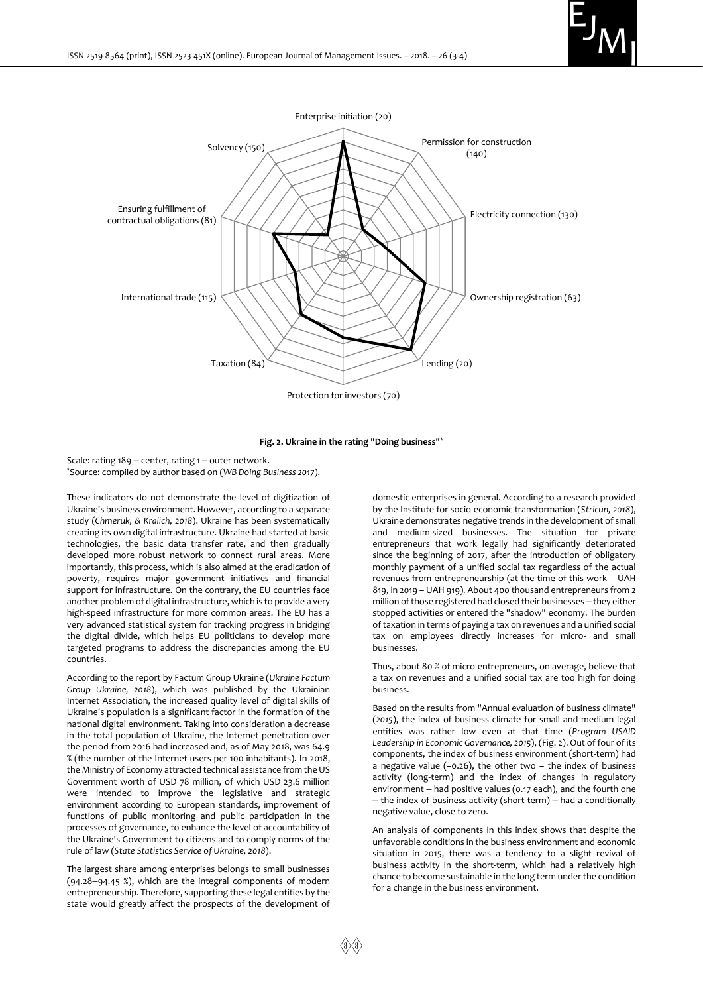



#### **Fig. 2. Ukraine in the rating "Doing business"\***

Scale: rating  $189 -$  center, rating  $1 -$  outer network. \*Source: compiled by author based on (*WB Doing Business 2017*).

These indicators do not demonstrate the level of digitization of Ukraine's business environment. However, according to a separate study (*Chmeruk, & Kralich, 2018*). Ukraine has been systematically creating its own digital infrastructure. Ukraine had started at basic technologies, the basic data transfer rate, and then gradually developed more robust network to connect rural areas. More importantly, this process, which is also aimed at the eradication of poverty, requires major government initiatives and financial support for infrastructure. On the contrary, the EU countries face another problem of digital infrastructure, which is to provide a very high-speed infrastructure for more common areas. The EU has a very advanced statistical system for tracking progress in bridging the digital divide, which helps EU politicians to develop more targeted programs to address the discrepancies among the EU countries.

According to the report by Factum Group Ukraine (*Ukraine Factum Group Ukraine, 2018*), which was published by the Ukrainian Internet Association, the increased quality level of digital skills of Ukraine's population is a significant factor in the formation of the national digital environment. Taking into consideration a decrease in the total population of Ukraine, the Internet penetration over the period from 2016 had increased and, as of May 2018, was 64.9 % (the number of the Internet users per 100 inhabitants). In 2018, the Ministry of Economy attracted technical assistance from the US Government worth of USD 78 million, of which USD 23.6 million were intended to improve the legislative and strategic environment according to European standards, improvement of functions of public monitoring and public participation in the processes of governance, to enhance the level of accountability of the Ukraine's Government to citizens and to comply norms of the rule of law (*State Statistics Service of Ukraine, 2018*).

The largest share among enterprises belongs to small businesses (94.28–94.45 %), which are the integral components of modern entrepreneurship. Therefore, supporting these legal entities by the state would greatly affect the prospects of the development of

domestic enterprises in general. According to a research provided by the Institute for socio-economic transformation (*Stricun, 2018*), Ukraine demonstrates negative trends in the development of small and medium-sized businesses. The situation for private entrepreneurs that work legally had significantly deteriorated since the beginning of 2017, after the introduction of obligatory monthly payment of a unified social tax regardless of the actual revenues from entrepreneurship (at the time of this work – UAH 819, in 2019 – UAH 919). About 400 thousand entrepreneurs from 2 million of those registered had closed their businesses - they either stopped activities or entered the "shadow" economy. The burden of taxation in terms of paying a tax on revenues and a unified social tax on employees directly increases for micro- and small businesses.

Thus, about 80 % of micro-entrepreneurs, on average, believe that a tax on revenues and a unified social tax are too high for doing business.

Based on the results from "Annual evaluation of business climate" (*2015*), the index of business climate for small and medium legal entities was rather low even at that time (*Program USAID Leadership in Economic Governance, 2015*), (Fig. 2). Out of four of its components, the index of business environment (short-term) had a negative value (−0.26), the other two – the index of business activity (long-term) and the index of changes in regulatory environment - had positive values (0.17 each), and the fourth one - the index of business activity (short-term) - had a conditionally negative value, close to zero.

An analysis of components in this index shows that despite the unfavorable conditions in the business environment and economic situation in 2015, there was a tendency to a slight revival of business activity in the short-term, which had a relatively high chance to become sustainable in the long term under the condition for a change in the business environment.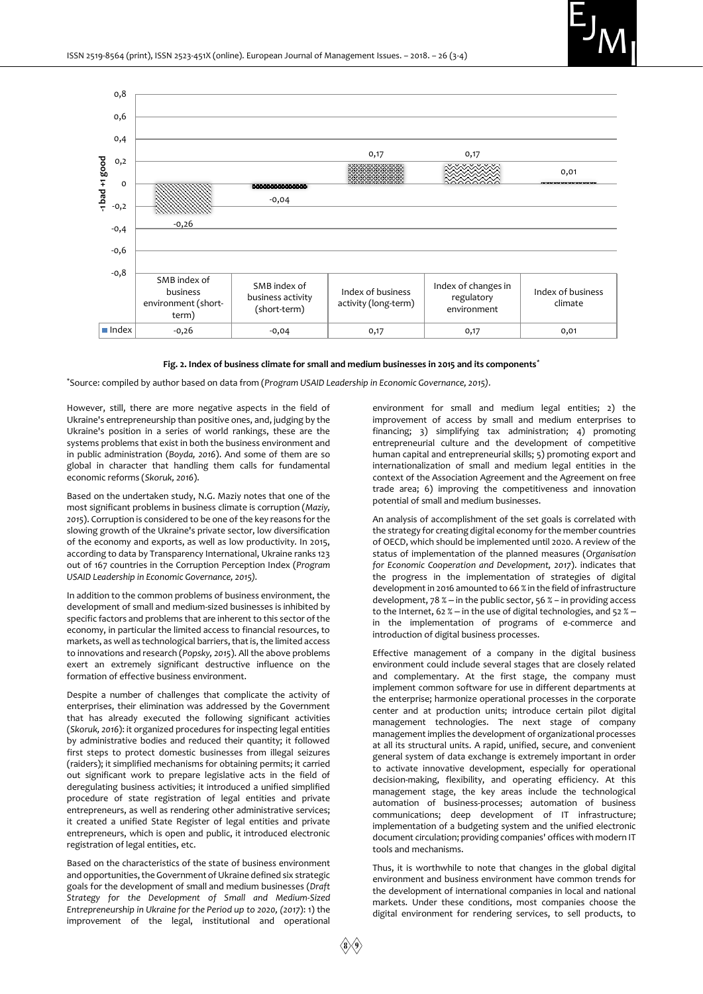



#### **Fig. 2. Index of business climate for small and medium businesses in 2015 and its components\***

\*Source: compiled by author based on data from (*Program USAID Leadership in Economic Governance, 2015).*

However, still, there are more negative aspects in the field of Ukraine's entrepreneurship than positive ones, and, judging by the Ukraine's position in a series of world rankings, these are the systems problems that exist in both the business environment and in public administration (*Boyda, 2016*). And some of them are so global in character that handling them calls for fundamental economic reforms (*Skoruk, 2016*).

Based on the undertaken study, N.G. Maziy notes that one of the most significant problems in business climate is corruption (*Maziy, 2015*). Corruption is considered to be one of the key reasons for the slowing growth of the Ukraine's private sector, low diversification of the economy and exports, as well as low productivity. In 2015, according to data by Transparency International, Ukraine ranks 123 out of 167 countries in the Corruption Perception Index (*Program USAID Leadership in Economic Governance, 2015).*

In addition to the common problems of business environment, the development of small and medium-sized businesses is inhibited by specific factors and problems that are inherent to this sector of the economy, in particular the limited access to financial resources, to markets, as well as technological barriers, that is, the limited access to innovations and research (*Popsky, 2015*). All the above problems exert an extremely significant destructive influence on the formation of effective business environment.

Despite a number of challenges that complicate the activity of enterprises, their elimination was addressed by the Government that has already executed the following significant activities (*Skoruk, 2016*): it organized procedures for inspecting legal entities by administrative bodies and reduced their quantity; it followed first steps to protect domestic businesses from illegal seizures (raiders); it simplified mechanisms for obtaining permits; it carried out significant work to prepare legislative acts in the field of deregulating business activities; it introduced a unified simplified procedure of state registration of legal entities and private entrepreneurs, as well as rendering other administrative services; it created a unified State Register of legal entities and private entrepreneurs, which is open and public, it introduced electronic registration of legal entities, etc.

Based on the characteristics of the state of business environment and opportunities, the Government of Ukraine defined six strategic goals for the development of small and medium businesses (*Draft Strategy for the Development of Small and Medium-Sized Entrepreneurship in Ukraine for the Period up to 2020, (2017*): 1) the improvement of the legal, institutional and operational

environment for small and medium legal entities; 2) the improvement of access by small and medium enterprises to financing; 3) simplifying tax administration; 4) promoting entrepreneurial culture and the development of competitive human capital and entrepreneurial skills; 5) promoting export and internationalization of small and medium legal entities in the context of the Association Agreement and the Agreement on free trade area; 6) improving the competitiveness and innovation potential of small and medium businesses.

An analysis of accomplishment of the set goals is correlated with the strategy for creating digital economy for the member countries of OECD, which should be implemented until 2020. A review of the status of implementation of the planned measures (*Organisation for Economic Cooperation and Development, 2017*). indicates that the progress in the implementation of strategies of digital development in 2016 amounted to 66 % in the field of infrastructure development,  $78\%$  – in the public sector,  $56\%$  – in providing access to the Internet, 62 % – in the use of digital technologies, and 52 % – in the implementation of programs of e-commerce and introduction of digital business processes.

Effective management of a company in the digital business environment could include several stages that are closely related and complementary. At the first stage, the company must implement common software for use in different departments at the enterprise; harmonize operational processes in the corporate center and at production units; introduce certain pilot digital management technologies. The next stage of company management implies the development of organizational processes at all its structural units. A rapid, unified, secure, and convenient general system of data exchange is extremely important in order to activate innovative development, especially for operational decision-making, flexibility, and operating efficiency. At this management stage, the key areas include the technological automation of business-processes; automation of business communications; deep development of IT infrastructure; implementation of a budgeting system and the unified electronic document circulation; providing companies' offices with modern IT tools and mechanisms.

Thus, it is worthwhile to note that changes in the global digital environment and business environment have common trends for the development of international companies in local and national markets. Under these conditions, most companies choose the digital environment for rendering services, to sell products, to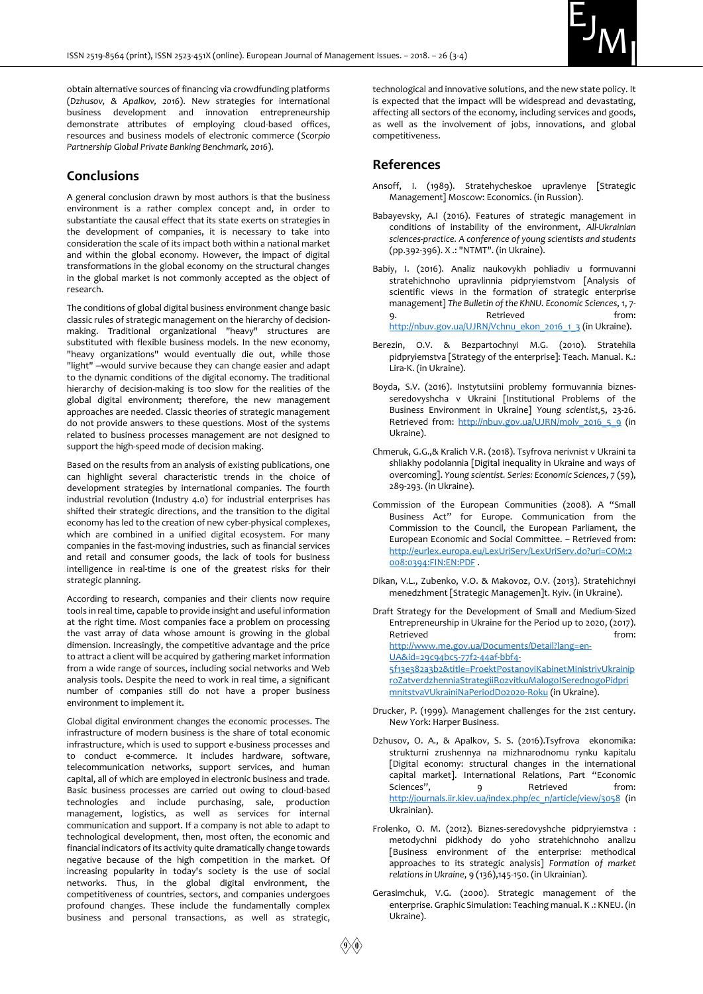

obtain alternative sources of financing via crowdfunding platforms (*Dzhusov, & Apalkov, 2016*). New strategies for international business development and innovation entrepreneurship demonstrate attributes of employing cloud-based offices, resources and business models of electronic commerce (*Scorpio Partnership Global Private Banking Benchmark, 2016*).

# **Conclusions**

A general conclusion drawn by most authors is that the business environment is a rather complex concept and, in order to substantiate the causal effect that its state exerts on strategies in the development of companies, it is necessary to take into consideration the scale of its impact both within a national market and within the global economy. However, the impact of digital transformations in the global economy on the structural changes in the global market is not commonly accepted as the object of research.

The conditions of global digital business environment change basic classic rules of strategic management on the hierarchy of decisionmaking. Traditional organizational "heavy" structures are substituted with flexible business models. In the new economy, "heavy organizations" would eventually die out, while those "light" -would survive because they can change easier and adapt to the dynamic conditions of the digital economy. The traditional hierarchy of decision-making is too slow for the realities of the global digital environment; therefore, the new management approaches are needed. Classic theories of strategic management do not provide answers to these questions. Most of the systems related to business processes management are not designed to support the high-speed mode of decision making.

Based on the results from an analysis of existing publications, one can highlight several characteristic trends in the choice of development strategies by international companies. The fourth industrial revolution (Industry 4.0) for industrial enterprises has shifted their strategic directions, and the transition to the digital economy has led to the creation of new cyber-physical complexes, which are combined in a unified digital ecosystem. For many companies in the fast-moving industries, such as financial services and retail and consumer goods, the lack of tools for business intelligence in real-time is one of the greatest risks for their strategic planning.

According to research, companies and their clients now require tools in real time, capable to provide insight and useful information at the right time. Most companies face a problem on processing the vast array of data whose amount is growing in the global dimension. Increasingly, the competitive advantage and the price to attract a client will be acquired by gathering market information from a wide range of sources, including social networks and Web analysis tools. Despite the need to work in real time, a significant number of companies still do not have a proper business environment to implement it.

Global digital environment changes the economic processes. The infrastructure of modern business is the share of total economic infrastructure, which is used to support e-business processes and to conduct e-commerce. It includes hardware, software, telecommunication networks, support services, and human capital, all of which are employed in electronic business and trade. Basic business processes are carried out owing to cloud-based technologies and include purchasing, sale, production management, logistics, as well as services for internal communication and support. If a company is not able to adapt to technological development, then, most often, the economic and financial indicators of its activity quite dramatically change towards negative because of the high competition in the market. Of increasing popularity in today's society is the use of social networks. Thus, in the global digital environment, the competitiveness of countries, sectors, and companies undergoes profound changes. These include the fundamentally complex business and personal transactions, as well as strategic,

technological and innovative solutions, and the new state policy. It is expected that the impact will be widespread and devastating, affecting all sectors of the economy, including services and goods, as well as the involvement of jobs, innovations, and global competitiveness.

### **References**

- Ansoff, I. (1989). Stratehycheskoe upravlenye [Strategic Management] Moscow: Economics. (in Russion).
- Babayevsky, A.I (2016). Features of strategic management in conditions of instability of the environment, *All-Ukrainian sciences-practice. A conference of young scientists and students*  (pp.392-396). X .: "NTMT". (in Ukraine).
- Babiy, I. (2016). Analiz naukovykh pohliadiv u formuvanni stratehichnoho upravlinnia pidpryiemstvom [Analysis of scientific views in the formation of strategic enterprise management] *The Bulletin of the KhNU. Economic Sciences*, 1, 7- 9. Retrieved from: [http://nbuv.gov.ua/UJRN/Vchnu\\_ekon\\_2016\\_1\\_3](http://nbuv.gov.ua/UJRN/Vchnu_ekon_2016_1_3) (in Ukraine).
- Berezin, O.V. & Bezpartochnyi M.G. (2010). Stratehiia pidpryiemstva [Strategy of the enterprise]: Teach. Manual. K.: Lira-K. (in Ukraine).
- Boyda, S.V. (2016). Instytutsiini problemy formuvannia biznesseredovyshcha v Ukraini [Institutional Problems of the Business Environment in Ukraine] *Young scientist,*5, 23-26. Retrieved from: [http://nbuv.gov.ua/UJRN/molv\\_2016\\_5\\_9](http://nbuv.gov.ua/UJRN/molv_2016_5_9) (in Ukraine).
- Chmeruk, G.G.,& Kralich V.R. (2018). Tsyfrova nerivnist v Ukraini ta shliakhy podolannia [Digital inequality in Ukraine and ways of overcoming]. *Young scientist. Series: Economic Sciences*, 7 (59), 289-293. (in Ukraine).
- Commission of the European Communities (2008). A "Small Business Act" for Europe. Communication from the Commission to the Council, the European Parliament, the European Economic and Social Committee. – Retrieved from: [http://eurlex.europa.eu/LexUriServ/LexUriServ.do?uri=COM:2](http://eurlex.europa.eu/LexUriServ/LexUriServ.do?uri=COM:2008:0394:FIN:EN:PDF) [008:0394:FIN:EN:PDF](http://eurlex.europa.eu/LexUriServ/LexUriServ.do?uri=COM:2008:0394:FIN:EN:PDF) .
- Dikan, V.L., Zubenko, V.O. & Makovoz, O.V. (2013). Stratehichnyi menedzhment [Strategic Managemen]t. Кyiv. (in Ukraine).

Draft Strategy for the Development of Small and Medium-Sized Entrepreneurship in Ukraine for the Period up to 2020, (2017). Retrieved **from:** [http://www.me.gov.ua/Documents/Detail?lang=en-](http://www.me.gov.ua/Documents/Detail?lang=en-UA&id=29c94bc5-77f2-44af-bbf4-5f13e382a3b2&title=ProektPostanoviKabinetMinistrivUkrainiproZatverdzhenniaStrategiiRozvitkuMalogoISerednogoPidprimnitstvaVUkrainiNaPeriodDo2020-Roku)[UA&id=29c94bc5-77f2-44af-bbf4-](http://www.me.gov.ua/Documents/Detail?lang=en-UA&id=29c94bc5-77f2-44af-bbf4-5f13e382a3b2&title=ProektPostanoviKabinetMinistrivUkrainiproZatverdzhenniaStrategiiRozvitkuMalogoISerednogoPidprimnitstvaVUkrainiNaPeriodDo2020-Roku) [5f13e382a3b2&title=ProektPostanoviKabinetMinistrivUkrainip](http://www.me.gov.ua/Documents/Detail?lang=en-UA&id=29c94bc5-77f2-44af-bbf4-5f13e382a3b2&title=ProektPostanoviKabinetMinistrivUkrainiproZatverdzhenniaStrategiiRozvitkuMalogoISerednogoPidprimnitstvaVUkrainiNaPeriodDo2020-Roku) [roZatverdzhenniaStrategiiRozvitkuMalogoISerednogoPidpri](http://www.me.gov.ua/Documents/Detail?lang=en-UA&id=29c94bc5-77f2-44af-bbf4-5f13e382a3b2&title=ProektPostanoviKabinetMinistrivUkrainiproZatverdzhenniaStrategiiRozvitkuMalogoISerednogoPidprimnitstvaVUkrainiNaPeriodDo2020-Roku) [mnitstvaVUkrainiNaPeriodDo2020-Roku](http://www.me.gov.ua/Documents/Detail?lang=en-UA&id=29c94bc5-77f2-44af-bbf4-5f13e382a3b2&title=ProektPostanoviKabinetMinistrivUkrainiproZatverdzhenniaStrategiiRozvitkuMalogoISerednogoPidprimnitstvaVUkrainiNaPeriodDo2020-Roku) (in Ukraine).

- Drucker, P. (1999). Management challenges for the 21st century. New York: Harper Business.
- Dzhusov, O. A., & Apalkov, S. S. (2016).Tsyfrova ekonomika: strukturni zrushennya na mizhnarodnomu rynku kapitalu [Digital economy: structural changes in the international capital market]. International Relations, Part "Economic Sciences", 9 Retrieved from: [http://journals.iir.kiev.ua/index.php/ec\\_n/article/view/3058](http://journals.iir.kiev.ua/index.php/ec_n/article/view/3058) (in Ukrainian).
- Frolenko, O. M. (2012). Biznes-seredovyshche pidpryiemstva : metodychni pidkhody do yoho stratehichnoho analizu [Business environment of the enterprise: methodical approaches to its strategic analysis] *Formation of market relations in Ukraine*, 9 (136),145-150. (in Ukrainian).
- Gerasimchuk, V.G. (2000). Strategic management of the enterprise. Graphic Simulation: Teaching manual. K .: KNEU. (in Ukraine).